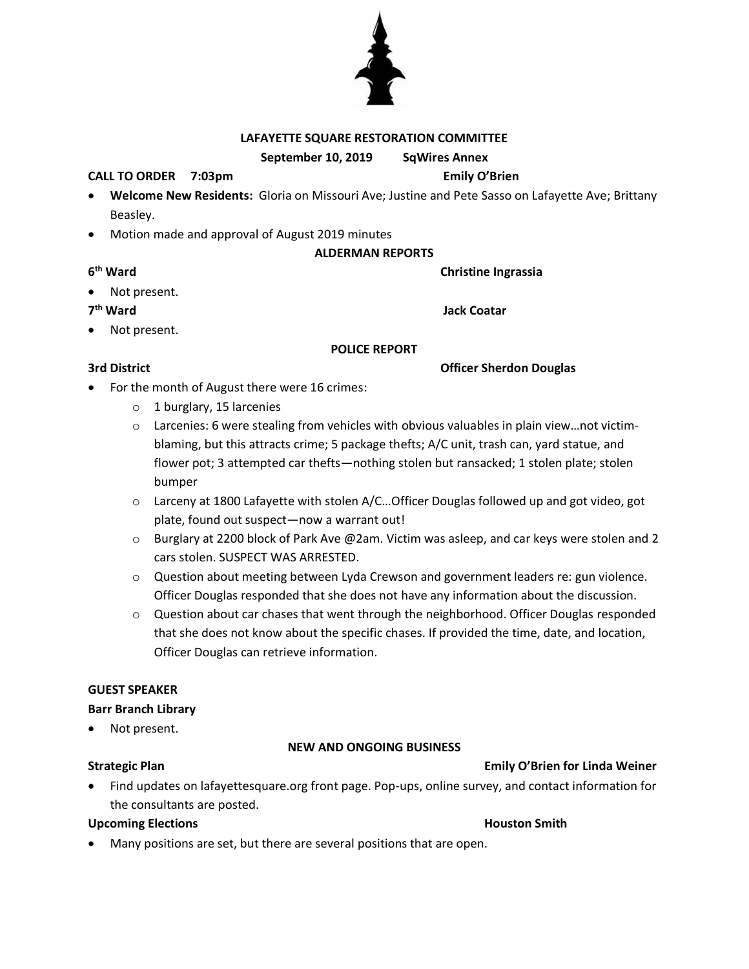## **LAFAYETTE SQUARE RESTORATION COMMITTEE**

**September 10, 2019 SqWires Annex**

### **CALL TO ORDER 7:03pm Emily O'Brien**

- **Welcome New Residents:** Gloria on Missouri Ave; Justine and Pete Sasso on Lafayette Ave; Brittany Beasley.
- Motion made and approval of August 2019 minutes

### **ALDERMAN REPORTS**

**Christine Ingrassia** 

**Jack Coatar** 

Not present.

## 7<sup>th</sup> Ward

6<sup>th</sup> Ward

Not present.

#### **POLICE REPORT**

**3rd District Officer Sherdon Douglas**

- For the month of August there were 16 crimes:
	- o 1 burglary, 15 larcenies
	- $\circ$  Larcenies: 6 were stealing from vehicles with obvious valuables in plain view...not victimblaming, but this attracts crime; 5 package thefts; A/C unit, trash can, yard statue, and flower pot; 3 attempted car thefts—nothing stolen but ransacked; 1 stolen plate; stolen bumper
	- o Larceny at 1800 Lafayette with stolen A/C…Officer Douglas followed up and got video, got plate, found out suspect—now a warrant out!
	- o Burglary at 2200 block of Park Ave @2am. Victim was asleep, and car keys were stolen and 2 cars stolen. SUSPECT WAS ARRESTED.
	- o Question about meeting between Lyda Crewson and government leaders re: gun violence. Officer Douglas responded that she does not have any information about the discussion.
	- $\circ$  Question about car chases that went through the neighborhood. Officer Douglas responded that she does not know about the specific chases. If provided the time, date, and location, Officer Douglas can retrieve information.

### **GUEST SPEAKER**

#### **Barr Branch Library**

Not present.

### **NEW AND ONGOING BUSINESS**

# **Strategic Plan Emily O'Brien for Linda Weiner**

• Find updates on lafayettesquare.org front page. Pop-ups, online survey, and contact information for the consultants are posted.

### **Upcoming Elections Contract Smith Houston Smith**

- 
- Many positions are set, but there are several positions that are open.

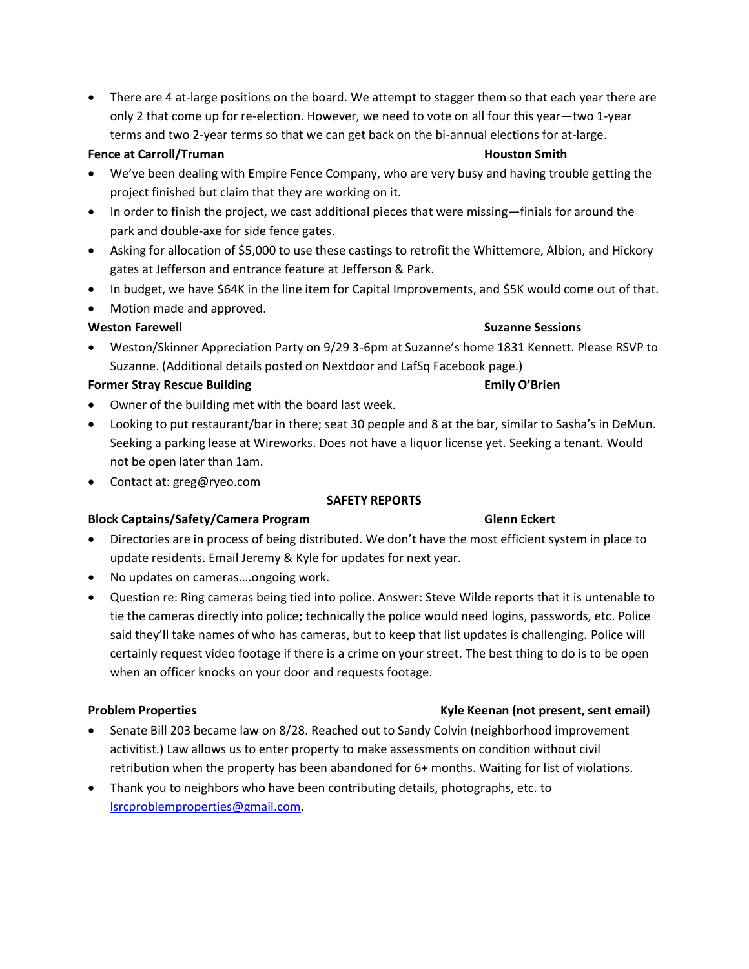• There are 4 at-large positions on the board. We attempt to stagger them so that each year there are only 2 that come up for re-election. However, we need to vote on all four this year—two 1-year terms and two 2-year terms so that we can get back on the bi-annual elections for at-large.

### **Fence at Carroll/Truman Houston Smith**

- We've been dealing with Empire Fence Company, who are very busy and having trouble getting the project finished but claim that they are working on it.
- In order to finish the project, we cast additional pieces that were missing—finials for around the park and double-axe for side fence gates.
- Asking for allocation of \$5,000 to use these castings to retrofit the Whittemore, Albion, and Hickory gates at Jefferson and entrance feature at Jefferson & Park.
- In budget, we have \$64K in the line item for Capital Improvements, and \$5K would come out of that.
- Motion made and approved.

### **Weston Farewell Suzanne Sessions**

• Weston/Skinner Appreciation Party on 9/29 3-6pm at Suzanne's home 1831 Kennett. Please RSVP to Suzanne. (Additional details posted on Nextdoor and LafSq Facebook page.)

### **Former Stray Rescue Building Emily O'Brien**

- Owner of the building met with the board last week.
- Looking to put restaurant/bar in there; seat 30 people and 8 at the bar, similar to Sasha's in DeMun. Seeking a parking lease at Wireworks. Does not have a liquor license yet. Seeking a tenant. Would not be open later than 1am.
- Contact at: greg@ryeo.com

#### **SAFETY REPORTS**

### **Block Captains/Safety/Camera Program Glenn Eckert**

- Directories are in process of being distributed. We don't have the most efficient system in place to update residents. Email Jeremy & Kyle for updates for next year.
- No updates on cameras….ongoing work.
- Question re: Ring cameras being tied into police. Answer: Steve Wilde reports that it is untenable to tie the cameras directly into police; technically the police would need logins, passwords, etc. Police said they'll take names of who has cameras, but to keep that list updates is challenging. Police will certainly request video footage if there is a crime on your street. The best thing to do is to be open when an officer knocks on your door and requests footage.

- Senate Bill 203 became law on 8/28. Reached out to Sandy Colvin (neighborhood improvement activitist.) Law allows us to enter property to make assessments on condition without civil retribution when the property has been abandoned for 6+ months. Waiting for list of violations.
- Thank you to neighbors who have been contributing details, photographs, etc. to [lsrcproblemproperties@gmail.com.](mailto:lsrcproblemproperties@gmail.com)

#### **Problem Properties Kyle Keenan (not present, sent email)**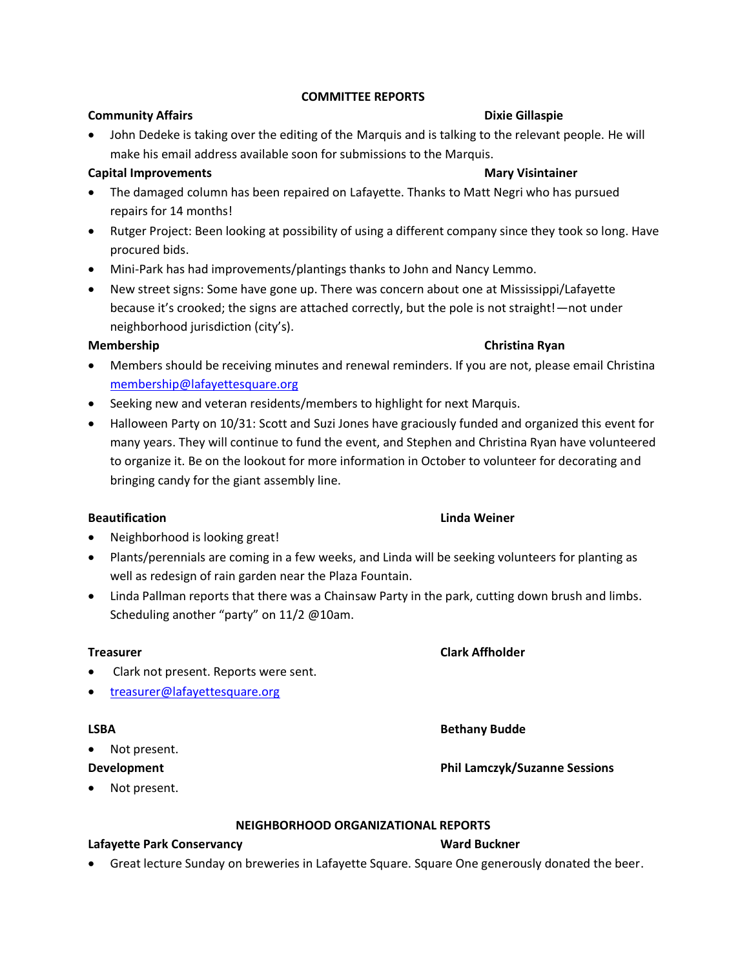### **COMMITTEE REPORTS**

### **Community Affairs Dixie Gillaspie Dixie Gillaspie**

• John Dedeke is taking over the editing of the Marquis and is talking to the relevant people. He will make his email address available soon for submissions to the Marquis.

# **Capital Improvements Mary Visintainer**

- The damaged column has been repaired on Lafayette. Thanks to Matt Negri who has pursued repairs for 14 months!
- Rutger Project: Been looking at possibility of using a different company since they took so long. Have procured bids.
- Mini-Park has had improvements/plantings thanks to John and Nancy Lemmo.
- New street signs: Some have gone up. There was concern about one at Mississippi/Lafayette because it's crooked; the signs are attached correctly, but the pole is not straight!—not under neighborhood jurisdiction (city's).

## **Membership Christina Ryan**

- Members should be receiving minutes and renewal reminders. If you are not, please email Christina [membership@lafayettesquare.org](mailto:membership@lafayettesquare.org)
- Seeking new and veteran residents/members to highlight for next Marquis.
- Halloween Party on 10/31: Scott and Suzi Jones have graciously funded and organized this event for many years. They will continue to fund the event, and Stephen and Christina Ryan have volunteered to organize it. Be on the lookout for more information in October to volunteer for decorating and bringing candy for the giant assembly line.

## **Beautification Linda Weiner**

- Neighborhood is looking great!
- Plants/perennials are coming in a few weeks, and Linda will be seeking volunteers for planting as well as redesign of rain garden near the Plaza Fountain.
- Linda Pallman reports that there was a Chainsaw Party in the park, cutting down brush and limbs. Scheduling another "party" on 11/2 @10am.

### **Treasurer Clark Affholder**

- Clark not present. Reports were sent.
- [treasurer@lafayettesquare.org](mailto:treasurer@lafayettesquare.org)

Not present.

Not present.

### **NEIGHBORHOOD ORGANIZATIONAL REPORTS**

### **Lafayette Park Conservancy Ward Buckner**

• Great lecture Sunday on breweries in Lafayette Square. Square One generously donated the beer.

### **LSBA Bethany Budde**

# **Development Phil Lamczyk/Suzanne Sessions**